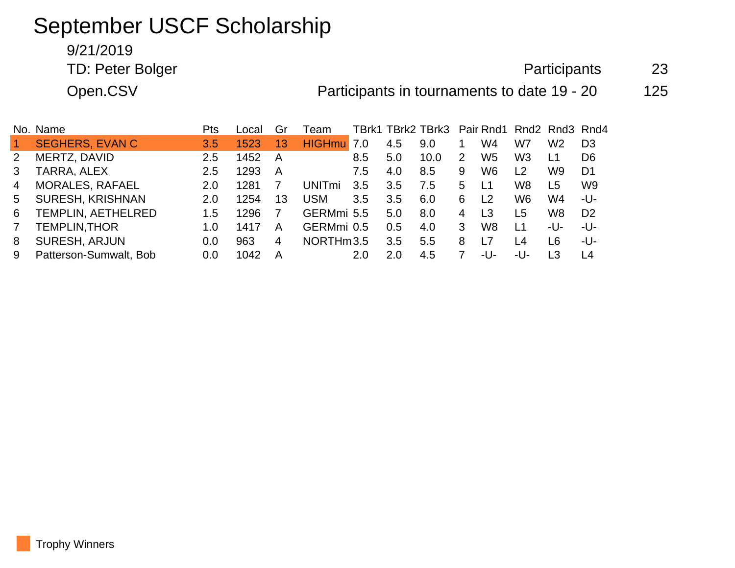# September USCF Scholarship

## 9/21/2019

TD: Peter Bolger 23

Open.CSV **Participants in tournaments to date 19 - 20** 125

|    | No. Name                  | Pts              | Local | Gr | Team          |     |     | TBrk1 TBrk2 TBrk3 Pair Rnd1 Rnd2 Rnd3 Rnd4 |   |                                |                |                |                |
|----|---------------------------|------------------|-------|----|---------------|-----|-----|--------------------------------------------|---|--------------------------------|----------------|----------------|----------------|
|    | <b>SEGHERS, EVAN C</b>    | 3.5 <sub>1</sub> | 1523  | 13 | <b>HIGHmu</b> | 7.0 | 4.5 | 9.0                                        |   | W4                             | W7             | W2             | D <sub>3</sub> |
|    | MERTZ, DAVID              | 2.5              | 1452  | A  |               | 8.5 | 5.0 | 10.0                                       | 2 | W5                             | W3             | L1             | D <sub>6</sub> |
|    | TARRA, ALEX               | 2.5              | 1293  | A  |               | 7.5 | 4.0 | 8.5                                        | 9 | W6                             | L <sub>2</sub> | W9             | D1             |
|    | <b>MORALES, RAFAEL</b>    | 2.0              | 1281  |    | UNITmi.       | 3.5 | 3.5 | 7.5                                        | 5 | L1                             | W8             | L <sub>5</sub> | W9             |
| 5. | <b>SURESH, KRISHNAN</b>   | 2.0              | 1254  | 13 | <b>USM</b>    | 3.5 | 3.5 | 6.0                                        | 6 | $\begin{array}{c} \end{array}$ | W6             | W4             | -U-            |
| 6  | <b>TEMPLIN, AETHELRED</b> | 1.5              | 1296  |    | GERMmi 5.5    |     | 5.0 | 8.0                                        | 4 | L <sub>3</sub>                 | L5             | W <sub>8</sub> | D <sub>2</sub> |
|    | <b>TEMPLIN, THOR</b>      | 1.0              | 1417  | A  | GERMmi 0.5    |     | 0.5 | 4.0                                        | 3 | W8                             | <u> 11</u>     | -U-            | -U-            |
| 8  | <b>SURESH, ARJUN</b>      | 0.0              | 963   | 4  | NORTHm3.5     |     | 3.5 | 5.5                                        | 8 |                                | L <sub>4</sub> | L6             | -U-            |
| 9  | Patterson-Sumwalt, Bob    | 0.0              | 1042  | A  |               | 2.0 | 2.0 | 4.5                                        |   | -U-                            | -U-            | L <sub>3</sub> | L <sub>4</sub> |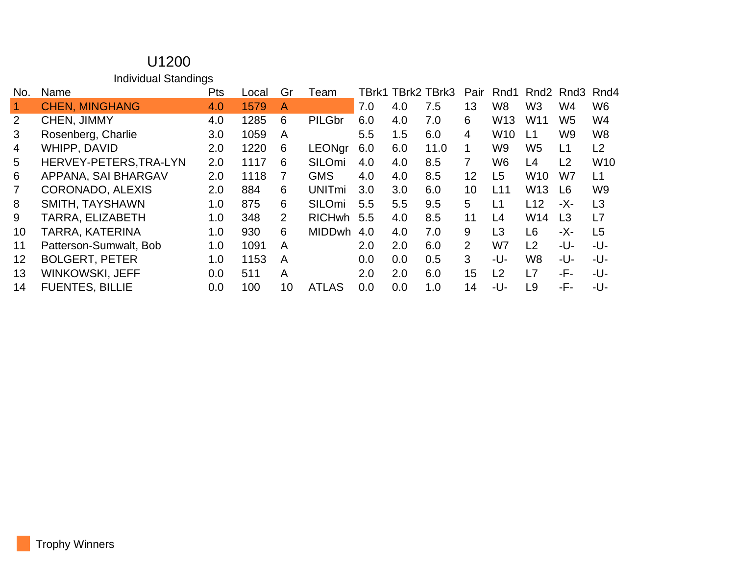#### U1200 Individual Standings

| No.               | Name                    | <b>Pts</b> | Local | Gr | Team                     | TBrk1 |     | TBrk2 TBrk3 | Pair           | Rnd1            | Rnd <sub>2</sub> | Rnd3           | Rnd4            |
|-------------------|-------------------------|------------|-------|----|--------------------------|-------|-----|-------------|----------------|-----------------|------------------|----------------|-----------------|
|                   | <b>CHEN, MINGHANG</b>   | 4.0        | 1579  | A  |                          | 7.0   | 4.0 | 7.5         | 13             | W <sub>8</sub>  | W <sub>3</sub>   | W4             | W <sub>6</sub>  |
| 2                 | CHEN, JIMMY             | 4.0        | 1285  | 6  | PILGbr                   | 6.0   | 4.0 | 7.0         | 6              | W <sub>13</sub> | W <sub>11</sub>  | W <sub>5</sub> | W4              |
| 3                 | Rosenberg, Charlie      | 3.0        | 1059  | A  |                          | 5.5   | 1.5 | 6.0         | $\overline{4}$ | <b>W10</b>      | L1               | W9             | W <sub>8</sub>  |
| 4                 | WHIPP, DAVID            | 2.0        | 1220  | 6  | <b>LEONgr</b>            | 6.0   | 6.0 | 11.0        | 1              | W9              | W <sub>5</sub>   | L1             | L <sub>2</sub>  |
| 5                 | HERVEY-PETERS, TRA-LYN  | 2.0        | 1117  | 6  | SILOmi                   | 4.0   | 4.0 | 8.5         | $\overline{7}$ | W6              | L4               | L <sub>2</sub> | W <sub>10</sub> |
| 6                 | APPANA, SAI BHARGAV     | 2.0        | 1118  | 7  | <b>GMS</b>               | 4.0   | 4.0 | 8.5         | 12             | L <sub>5</sub>  | W <sub>10</sub>  | W7             | L1              |
|                   | CORONADO, ALEXIS        | 2.0        | 884   | 6  | <b>UNIT<sub>mi</sub></b> | 3.0   | 3.0 | 6.0         | 10             | L11             | W <sub>13</sub>  | L6             | W <sub>9</sub>  |
| 8                 | SMITH, TAYSHAWN         | 1.0        | 875   | 6  | SILOmi                   | 5.5   | 5.5 | 9.5         | 5              | L1              | L12              | -X-            | L3              |
| 9                 | <b>TARRA, ELIZABETH</b> | 1.0        | 348   | 2  | <b>RICHwh</b>            | 5.5   | 4.0 | 8.5         | 11             | L4              | W14              | L3             | L7              |
| 10                | TARRA, KATERINA         | 1.0        | 930   | 6  | <b>MIDDwh</b>            | 4.0   | 4.0 | 7.0         | 9              | L3              | L <sub>6</sub>   | -X-            | L <sub>5</sub>  |
| 11                | Patterson-Sumwalt, Bob  | 1.0        | 1091  | A  |                          | 2.0   | 2.0 | 6.0         | $\overline{2}$ | W7              | L2               | -U-            | -U-             |
| $12 \overline{ }$ | <b>BOLGERT, PETER</b>   | 1.0        | 1153  | A  |                          | 0.0   | 0.0 | 0.5         | 3 <sup>1</sup> | -U-             | W <sub>8</sub>   | -U-            | -U-             |
| 13                | WINKOWSKI, JEFF         | 0.0        | 511   | A  |                          | 2.0   | 2.0 | 6.0         | 15             | L2              | L7               | -F-            | -U-             |
| 14                | <b>FUENTES, BILLIE</b>  | 0.0        | 100   | 10 | <b>ATLAS</b>             | 0.0   | 0.0 | 1.0         | 14             | -U-             | L <sub>9</sub>   | -F-            | -U-             |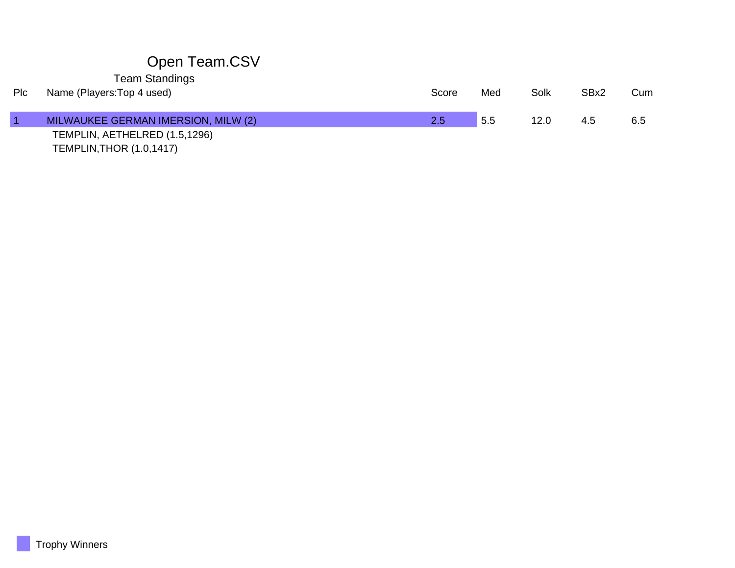## Open Team.CSV

Team Standings

г

| Plc | Name (Players: Top 4 used)          | Score         | Med | Solk | SB <sub>x2</sub> | Cum |
|-----|-------------------------------------|---------------|-----|------|------------------|-----|
|     | MILWAUKEE GERMAN IMERSION, MILW (2) | $2.5^{\circ}$ | 5.5 | 12.0 | 4.5              | 6.5 |
|     | TEMPLIN, AETHELRED (1.5,1296)       |               |     |      |                  |     |
|     | <b>TEMPLIN, THOR (1.0, 1417)</b>    |               |     |      |                  |     |